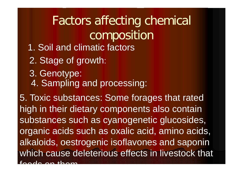# *Factors affecting chemical composition*

- 1. Soil and climatic factors
- 2. Stage of growth:
- 3. Genotype: 4. Sampling and processing:

5. Toxic substances: Some forages that rated high in their dietary components also contain substances such as cyanogenetic glucosides, organic acids such as oxalic acid, amino acids, alkaloids, oestrogenic isoflavones and saponin which cause deleterious effects in livestock that faade on tham.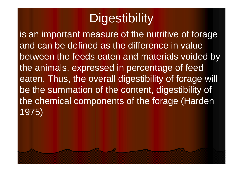## **Digestibility**

is an important measure of the nutritive of forage and can be defined as the difference in value between the feeds eaten and materials voided by the animals, expressed in percentage of feed eaten. Thus, the overall digestibility of forage will be the summation of the content, digestibility of the chemical components of the forage (Harden 1975)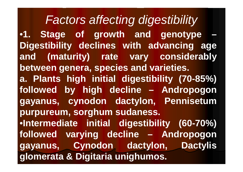#### *Factors affecting digestibility*

•**1. Stage of growth and genotype – Digestibility declines with advancing age and (maturity) rate vary considerably between genera, species and varieties. a. Plants high initial digestibility (70-85%) followed by high decline – Andropogon gayanus, cynodon dactylon, Pennisetum purpureum, sorghum sudaness.** •**Intermediate initial digestibility (60-70%) followed varying decline – Andropogon gayanus, Cynodon dactylon, Dactylis glomerata & Digitaria unighumos.**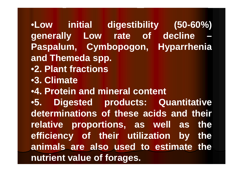•**Low initial digestibility (50-60%) generally Low rate of decline – Paspalum, Cymbopogon, Hyparrhenia and Themeda spp.** •**2. Plant fractions** •**3. Climate** •**4. Protein and mineral content** •**5. Digested products: Quantitative determinations of these acids and their relative proportions, as well as the efficiency of their utilization by the animals are also used to estimate the nutrient value of forages.**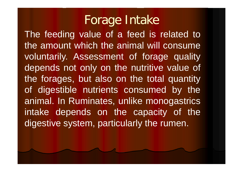#### *Forage Intake*

The feeding value of a feed is related to the amount which the animal will consume voluntarily. Assessment of forage quality depends not only on the nutritive value of the forages, but also on the total quantity of digestible nutrients consumed by the animal. In Ruminates, unlike monogastrics intake depends on the capacity of the digestive system, particularly the rumen.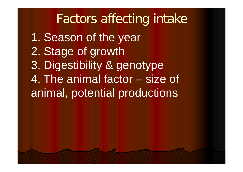### *Factors affecting intake*

1. Season of the year 2. Stage of growth 3. Digestibility & genotype 4. The animal factor – size of animal, potential productions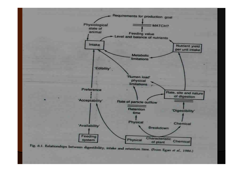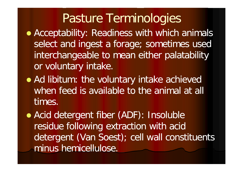#### Pasture Terminologies

- **Acceptability: Readiness with which animals** select and ingest a forage; sometimes used interchangeable to mean either palatability or voluntary intake.
- Ad libitum: the voluntary intake achieved when feed is available to the animal at all times.

 Acid detergent fiber (ADF): Insoluble residue following extraction with acid detergent (Van Soest); cell wall constituents minus hemicellulose.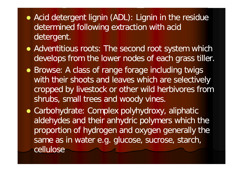- Acid detergent lignin (ADL): Lignin in the residue determined following extraction with acid detergent.
- Adventitious roots: The second root system which develops from the lower nodes of each grass tiller.
- Browse: A class of range forage including twigs with their shoots and leaves which are selectively cropped by livestock or other wild herbivores from shrubs, small trees and woody vines.
- Carbohydrate: Complex polyhydroxy, aliphatic aldehydes and their anhydric polymers which the proportion of hydrogen and oxygen generally the same as in water e.g. glucose, sucrose, starch, cellulose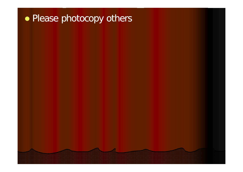#### • Please photocopy others